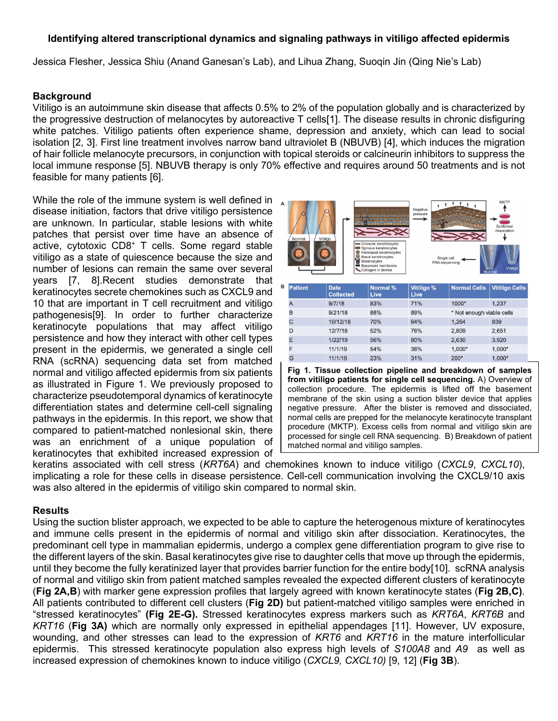## **Identifying altered transcriptional dynamics and signaling pathways in vitiligo affected epidermis**

Jessica Flesher, Jessica Shiu (Anand Ganesan's Lab), and Lihua Zhang, Suoqin Jin (Qing Nie's Lab)

#### **Background**

Vitiligo is an autoimmune skin disease that affects 0.5% to 2% of the population globally and is characterized by the progressive destruction of melanocytes by autoreactive T cells[1]. The disease results in chronic disfiguring white patches. Vitiligo patients often experience shame, depression and anxiety, which can lead to social isolation [2, 3]. First line treatment involves narrow band ultraviolet B (NBUVB) [4], which induces the migration of hair follicle melanocyte precursors, in conjunction with topical steroids or calcineurin inhibitors to suppress the local immune response [5]. NBUVB therapy is only 70% effective and requires around 50 treatments and is not feasible for many patients [6].

While the role of the immune system is well defined in disease initiation, factors that drive vitiligo persistence are unknown. In particular, stable lesions with white patches that persist over time have an absence of active, cytotoxic CD8+ T cells. Some regard stable vitiligo as a state of quiescence because the size and number of lesions can remain the same over several years [7, 8].Recent studies demonstrate that keratinocytes secrete chemokines such as CXCL9 and 10 that are important in T cell recruitment and vitiligo pathogenesis[9]. In order to further characterize keratinocyte populations that may affect vitiligo persistence and how they interact with other cell types present in the epidermis, we generated a single cell RNA (scRNA) sequencing data set from matched normal and vitiligo affected epidermis from six patients as illustrated in Figure 1. We previously proposed to characterize pseudotemporal dynamics of keratinocyte differentiation states and determine cell-cell signaling pathways in the epidermis. In this report, we show that compared to patient-matched nonlesional skin, there was an enrichment of a unique population of keratinocytes that exhibited increased expression of



**from vitiligo patients for single cell sequencing.** A) Overview of collection procedure. The epidermis is lifted off the basement membrane of the skin using a suction blister device that applies negative pressure. After the blister is removed and dissociated, normal cells are prepped for the melanocyte keratinocyte transplant procedure (MKTP). Excess cells from normal and vitiligo skin are processed for single cell RNA sequencing. B) Breakdown of patient matched normal and vitiligo samples.

keratins associated with cell stress (*KRT6A*) and chemokines known to induce vitiligo (*CXCL9*, *CXCL10*), implicating a role for these cells in disease persistence. Cell-cell communication involving the CXCL9/10 axis was also altered in the epidermis of vitiligo skin compared to normal skin.

## **Results**

Using the suction blister approach, we expected to be able to capture the heterogenous mixture of keratinocytes and immune cells present in the epidermis of normal and vitiligo skin after dissociation. Keratinocytes, the predominant cell type in mammalian epidermis, undergo a complex gene differentiation program to give rise to the different layers of the skin. Basal keratinocytes give rise to daughter cells that move up through the epidermis, until they become the fully keratinized layer that provides barrier function for the entire body[10]. scRNA analysis of normal and vitiligo skin from patient matched samples revealed the expected different clusters of keratinocyte (**Fig 2A,B**) with marker gene expression profiles that largely agreed with known keratinocyte states (**Fig 2B,C)**. All patients contributed to different cell clusters (**Fig 2D)** but patient-matched vitiligo samples were enriched in "stressed keratinocytes" **(Fig 2E-G).** Stressed keratinocytes express markers such as *KRT6A*, *KRT6B* and *KRT16* (**Fig 3A)** which are normally only expressed in epithelial appendages [11]. However, UV exposure, wounding, and other stresses can lead to the expression of *KRT6* and *KRT16* in the mature interfollicular epidermis. This stressed keratinocyte population also express high levels of *S100A8* and *A9* as well as increased expression of chemokines known to induce vitiligo (*CXCL9, CXCL10)* [9, 12] (**Fig 3B**).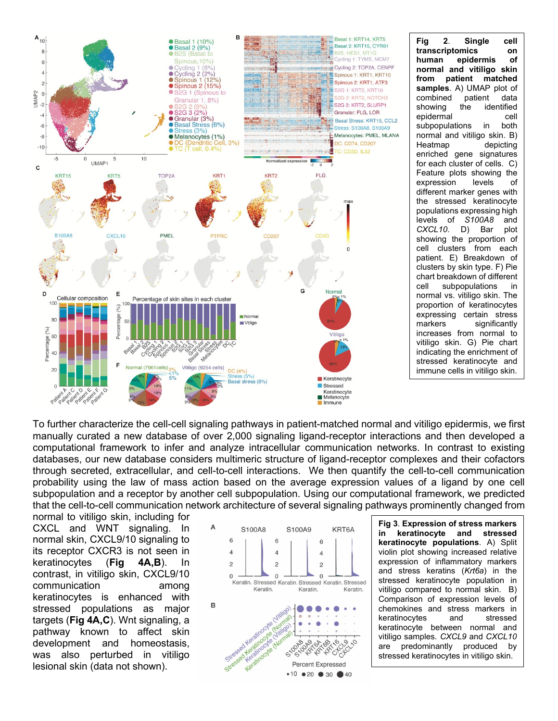

**Fig 2**. **Single cell transcriptomics on**   $e$ *pidermis* **normal and vitiligo skin from patient matched samples**. A) UMAP plot of combined patient data showing the identified epidermal cell subpopulations in both normal and vitiligo skin. B)<br>Heatmap depicting depicting enriched gene signatures for each cluster of cells. C) Feature plots showing the expression levels of different marker genes with the stressed keratinocyte populations expressing high levels of *S100A8* and *CXCL10*. D) Bar plot showing the proportion of cell clusters from each patient. E) Breakdown of clusters by skin type. F) Pie chart breakdown of different cell subpopulations in normal vs. vitiligo skin. The proportion of keratinocytes expressing certain stress markers significantly increases from normal to vitiligo skin. G) Pie chart indicating the enrichment of stressed keratinocyte and immune cells in vitiligo skin.

To further characterize the cell-cell signaling pathways in patient-matched normal and vitiligo epidermis, we first manually curated a new database of over 2,000 signaling ligand-receptor interactions and then developed a computational framework to infer and analyze intracellular communication networks. In contrast to existing databases, our new database considers multimeric structure of ligand-receptor complexes and their cofactors through secreted, extracellular, and cell-to-cell interactions. We then quantify the cell-to-cell communication probability using the law of mass action based on the average expression values of a ligand by one cell subpopulation and a receptor by another cell subpopulation. Using our computational framework, we predicted that the cell-to-cell communication network architecture of several signaling pathways prominently changed from

normal to vitiligo skin, including for CXCL and WNT signaling. In normal skin, CXCL9/10 signaling to its receptor CXCR3 is not seen in keratinocytes (**Fig 4A,B**). In contrast, in vitiligo skin, CXCL9/10 communication among keratinocytes is enhanced with stressed populations as major targets (**Fig 4A,C**). Wnt signaling, a pathway known to affect skin development and homeostasis, was also perturbed in vitiligo lesional skin (data not shown).



**Fig 3**. **Expression of stress markers in keratinocyte and stressed keratinocyte populations**. A) Split violin plot showing increased relative expression of inflammatory markers and stress keratins (*Krt6a*) in the stressed keratinocyte population in vitiligo compared to normal skin. B) Comparison of expression levels of chemokines and stress markers in keratinocytes and stressed keratinocyte between normal and vitiligo samples. *CXCL9* and *CXCL10*  are predominantly produced by stressed keratinocytes in vitiligo skin.